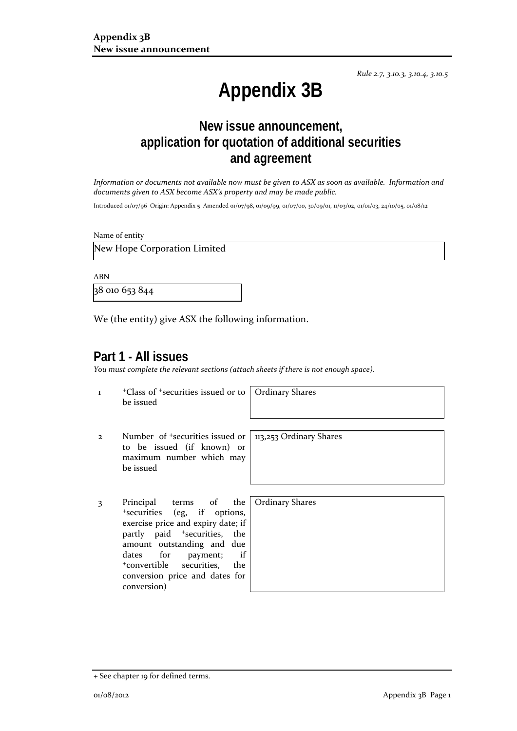*Rule 2.7, 3.10.3, 3.10.4, 3.10.5*

# **Appendix 3B**

# **New issue announcement, application for quotation of additional securities and agreement**

*Information or documents not available now must be given to ASX as soon as available. Information and documents given to ASX become ASX's property and may be made public.*

Introduced 01/07/96 Origin: Appendix 5 Amended 01/07/98, 01/09/99, 01/07/00, 30/09/01, 11/03/02, 01/01/03, 24/10/05, 01/08/12

Name of entity

New Hope Corporation Limited

ABN

38 010 653 844

We (the entity) give ASX the following information.

## **Part 1 - All issues**

*You must complete the relevant sections (attach sheets if there is not enough space).*

1 +Class of +securities issued or to be issued

Ordinary Shares

- 2 Number of +securities issued or to be issued (if known) or maximum number which may be issued
- 3 Principal terms of the +securities (eg, if options, exercise price and expiry date; if partly paid <sup>+</sup>securities, the amount outstanding and due dates for payment; if<br>
+convertible securities, the conversion price and dates for conversion)

113,253 Ordinary Shares

Ordinary Shares

<sup>+</sup> See chapter 19 for defined terms.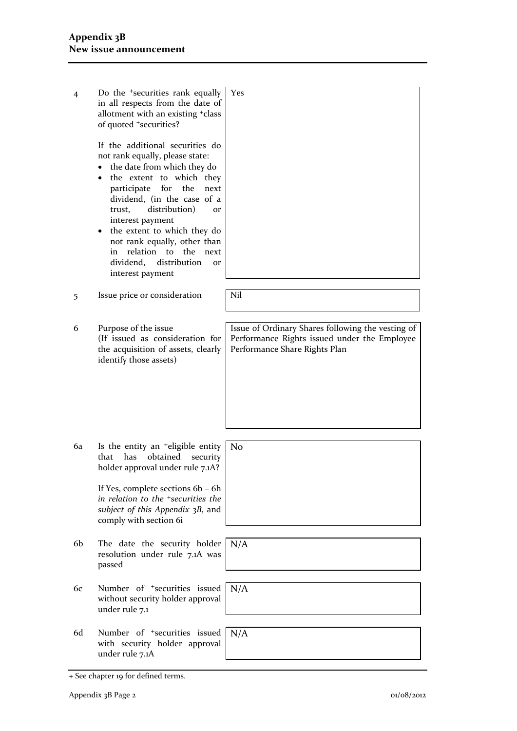| Do the <sup>+</sup> securities rank equally<br>in all respects from the date of<br>allotment with an existing +class<br>of quoted +securities?                                                                                                                                                                                                                                                                                                 | Yes                                                                                                                                |
|------------------------------------------------------------------------------------------------------------------------------------------------------------------------------------------------------------------------------------------------------------------------------------------------------------------------------------------------------------------------------------------------------------------------------------------------|------------------------------------------------------------------------------------------------------------------------------------|
| If the additional securities do<br>not rank equally, please state:<br>the date from which they do<br>$\bullet$<br>• the extent to which they<br>participate for the<br>next<br>dividend, (in the case of a<br>distribution)<br>trust,<br><b>or</b><br>interest payment<br>the extent to which they do<br>$\bullet$<br>not rank equally, other than<br>in relation to the<br>next<br>dividend,<br>distribution<br><b>Or</b><br>interest payment |                                                                                                                                    |
| Issue price or consideration                                                                                                                                                                                                                                                                                                                                                                                                                   | Nil                                                                                                                                |
| Purpose of the issue<br>(If issued as consideration for<br>the acquisition of assets, clearly<br>identify those assets)                                                                                                                                                                                                                                                                                                                        | Issue of Ordinary Shares following the vesting of<br>Performance Rights issued under the Employee<br>Performance Share Rights Plan |
| Is the entity an <sup>+</sup> eligible entity<br>that<br>has<br>obtained<br>security<br>holder approval under rule 7.1A?<br>If Yes, complete sections 6b - 6h<br>in relation to the <sup>+</sup> securities the<br>subject of this Appendix 3B, and<br>comply with section 6i                                                                                                                                                                  | No                                                                                                                                 |
| The date the security holder<br>resolution under rule 7.1A was<br>passed                                                                                                                                                                                                                                                                                                                                                                       | N/A                                                                                                                                |
| Number of <sup>+</sup> securities issued<br>without security holder approval<br>under rule 7.1                                                                                                                                                                                                                                                                                                                                                 | N/A                                                                                                                                |
| Number of <sup>+</sup> securities issued<br>with security holder approval<br>under rule 7.1A                                                                                                                                                                                                                                                                                                                                                   | N/A                                                                                                                                |
|                                                                                                                                                                                                                                                                                                                                                                                                                                                |                                                                                                                                    |

<sup>+</sup> See chapter 19 for defined terms.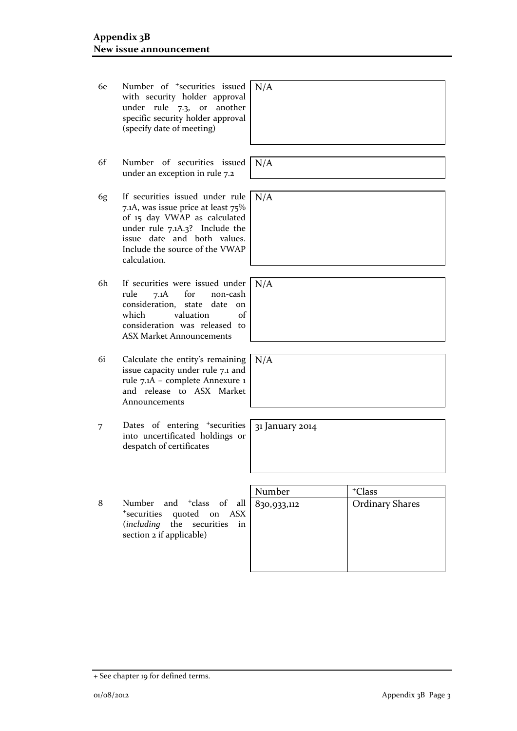- 6e Number of +securities issued with security holder approval under rule 7.3, or another specific security holder approval (specify date of meeting)  $N/A$
- 6f Number of securities issued under an exception in rule 7.2
- 6g If securities issued under rule 7.1A, was issue price at least 75% of 15 day VWAP as calculated under rule 7.1A.3? Include the issue date and both values. Include the source of the VWAP calculation.
- 6h If securities were issued under rule 7.1A for non-cash consideration, state date on which valuation of consideration was released to ASX Market Announcements
- 6i Calculate the entity's remaining issue capacity under rule 7.1 and rule 7.1A – complete Annexure 1 and release to ASX Market Announcements
- 7 Dates of entering <sup>+</sup>securities into uncertificated holdings or despatch of certificates
- 8 Number and <sup>+</sup>class of all <sup>+</sup>securities quoted on ASX (*including* the securities in section 2 if applicable)

| Number      | <sup>+</sup> Class     |
|-------------|------------------------|
| 830,933,112 | <b>Ordinary Shares</b> |
|             |                        |

N/A

N/A

N/A

N/A

31 January 2014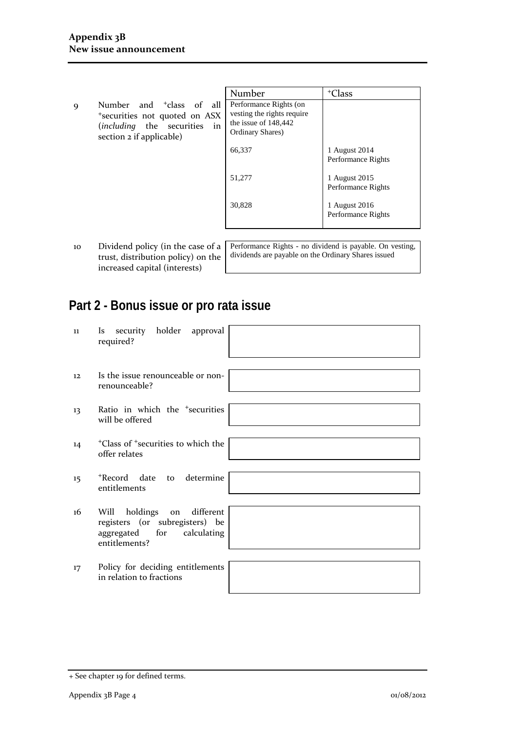- Number + Class 9 Number and <sup>+</sup>class of all <sup>+</sup>securities not quoted on ASX (*including* the securities in section 2 if applicable) Performance Rights (on vesting the rights require the issue of 148,442 Ordinary Shares) 66,337 51,277 30,828 1 August 2014 Performance Rights 1 August 2015 Performance Rights 1 August 2016 Performance Rights
- 10 Dividend policy (in the case of a trust, distribution policy) on the increased capital (interests)

Performance Rights - no dividend is payable. On vesting, dividends are payable on the Ordinary Shares issued

# **Part 2 - Bonus issue or pro rata issue**

| 11 | security holder approval<br><i>Is</i><br>required?                                                                         |  |
|----|----------------------------------------------------------------------------------------------------------------------------|--|
| 12 | Is the issue renounceable or non-<br>renounceable?                                                                         |  |
| 13 | Ratio in which the <sup>+</sup> securities<br>will be offered                                                              |  |
| 14 | <sup>+</sup> Class of <sup>+</sup> securities to which the<br>offer relates                                                |  |
| 15 | +Record date<br>to determine<br>entitlements                                                                               |  |
| 16 | different<br>holdings<br>Will<br>on<br>registers (or subregisters) be<br>for<br>calculating<br>aggregated<br>entitlements? |  |
| 17 | Policy for deciding entitlements<br>in relation to fractions                                                               |  |
|    |                                                                                                                            |  |

<sup>+</sup> See chapter 19 for defined terms.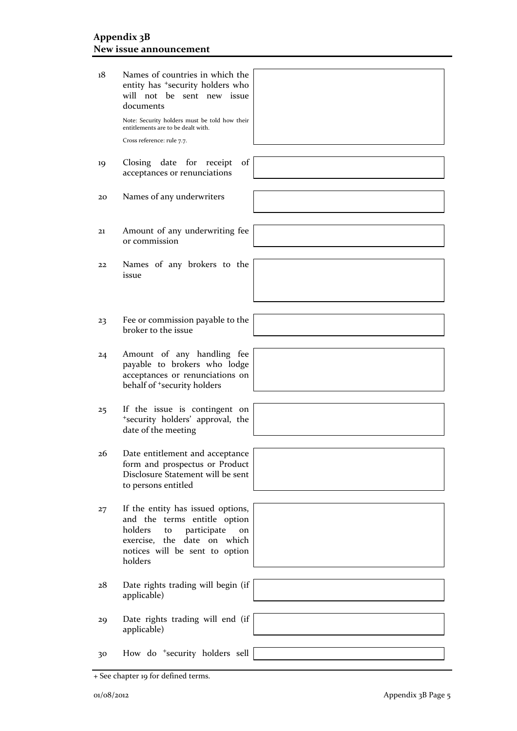| 18 | Names of countries in which the<br>entity has <sup>+</sup> security holders who<br>will not be sent new issue<br>documents<br>Note: Security holders must be told how their<br>entitlements are to be dealt with.<br>Cross reference: rule 7.7. |
|----|-------------------------------------------------------------------------------------------------------------------------------------------------------------------------------------------------------------------------------------------------|
| 19 | Closing date<br>of<br>for<br>receipt<br>acceptances or renunciations                                                                                                                                                                            |
| 20 | Names of any underwriters                                                                                                                                                                                                                       |
| 21 | Amount of any underwriting fee<br>or commission                                                                                                                                                                                                 |
| 22 | Names of any brokers to the<br>issue                                                                                                                                                                                                            |
| 23 | Fee or commission payable to the                                                                                                                                                                                                                |
|    | broker to the issue                                                                                                                                                                                                                             |
| 24 | Amount of any handling fee<br>payable to brokers who lodge<br>acceptances or renunciations on<br>behalf of <sup>+</sup> security holders                                                                                                        |
| 25 | If the issue is contingent on<br>*security holders' approval, the<br>date of the meeting                                                                                                                                                        |
| 26 | Date entitlement and acceptance<br>form and prospectus or Product<br>Disclosure Statement will be sent<br>to persons entitled                                                                                                                   |
| 27 | If the entity has issued options,<br>and the terms entitle option<br>holders<br>participate<br>to<br>on<br>exercise, the<br>date on which<br>notices will be sent to option<br>holders                                                          |
| 28 | Date rights trading will begin (if<br>applicable)                                                                                                                                                                                               |
| 29 | Date rights trading will end (if<br>applicable)                                                                                                                                                                                                 |
| 30 | How do <sup>+</sup> security holders sell                                                                                                                                                                                                       |

<sup>+</sup> See chapter 19 for defined terms.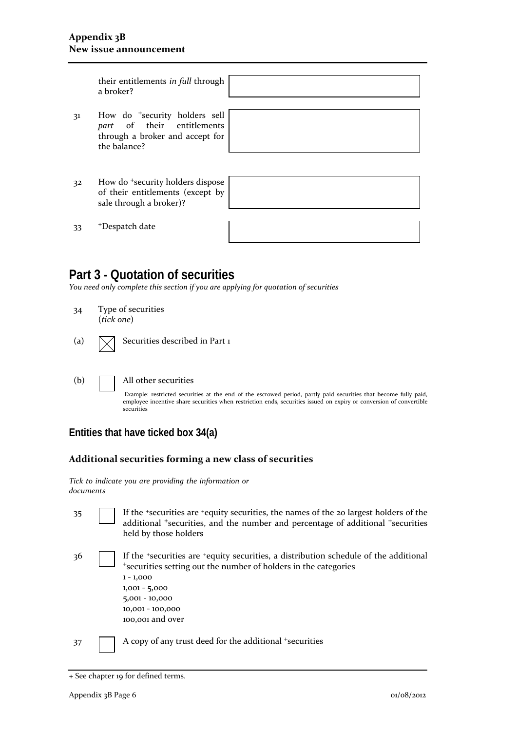### **Appendix 3B New issue announcement**

| their entitlements in full through<br>a broker?                                                                            |  |
|----------------------------------------------------------------------------------------------------------------------------|--|
|                                                                                                                            |  |
| How do <sup>+</sup> security holders sell<br>part of their entitlements<br>through a broker and accept for<br>the balance? |  |
|                                                                                                                            |  |
|                                                                                                                            |  |
| How do <sup>+</sup> security holders dispose<br>of their entitlements (except by<br>sale through a broker)?                |  |
|                                                                                                                            |  |
| <sup>+</sup> Despatch date                                                                                                 |  |
|                                                                                                                            |  |

# **Part 3 - Quotation of securities**

*You need only complete this section if you are applying for quotation of securities*

34 Type of securities (*tick one*)

| (a) |  | $\sqrt{\phantom{a}}$ Securities described in Part 1 |  |  |  |  |
|-----|--|-----------------------------------------------------|--|--|--|--|
|-----|--|-----------------------------------------------------|--|--|--|--|

(b) All other securities

Example: restricted securities at the end of the escrowed period, partly paid securities that become fully paid, employee incentive share securities when restriction ends, securities issued on expiry or conversion of convertible securities

### **Entities that have ticked box 34(a)**

### **Additional securities forming a new class of securities**

|           |  |  | Tick to indicate you are providing the information or |  |
|-----------|--|--|-------------------------------------------------------|--|
| documents |  |  |                                                       |  |

| 35 | If the 'securities are 'equity securities, the names of the 20 largest holders of the |
|----|---------------------------------------------------------------------------------------|
|    | additional *securities, and the number and percentage of additional *securities       |
|    | held by those holders                                                                 |

36 If the +securities are +equity securities, a distribution schedule of the additional <sup>+</sup>securities setting out the number of holders in the categories 1 - 1,000 1,001 - 5,000 5,001 - 10,000 10,001 - 100,000 100,001 and over

37 A copy of any trust deed for the additional +securities

<sup>+</sup> See chapter 19 for defined terms.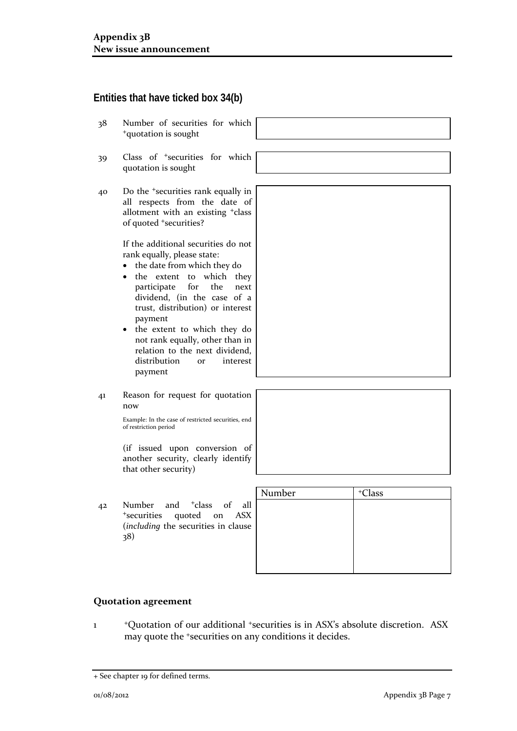## **Entities that have ticked box 34(b)**

- 38 Number of securities for which <sup>+</sup>quotation is sought
- 39 Class of <sup>+</sup>securities for which quotation is sought
- 40 Do the <sup>+</sup>securities rank equally in all respects from the date of allotment with an existing <sup>+</sup>class of quoted <sup>+</sup>securities?

If the additional securities do not rank equally, please state:

- the date from which they do
- the extent to which they participate for the next dividend, (in the case of a trust, distribution) or interest payment
- the extent to which they do not rank equally, other than in relation to the next dividend, distribution or interest payment
- 41 Reason for request for quotation now

Example: In the case of restricted securities, end of restriction period

(if issued upon conversion of another security, clearly identify that other security)

42 Number and <sup>+</sup>class of all <sup>+</sup>securities quoted on ASX (*including* the securities in clause 38)

| <sup>+</sup> Class |
|--------------------|
|                    |
|                    |
|                    |
|                    |
|                    |
|                    |
|                    |

### **Quotation agreement**

1 <sup>+</sup>Quotation of our additional +securities is in ASX's absolute discretion. ASX may quote the +securities on any conditions it decides.

<sup>+</sup> See chapter 19 for defined terms.